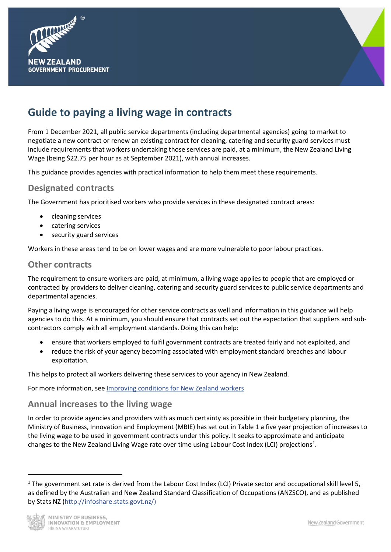



# **Guide to paying a living wage in contracts**

From 1 December 2021, all public service departments (including departmental agencies) going to market to negotiate a new contract or renew an existing contract for cleaning, catering and security guard services must include requirements that workers undertaking those services are paid, at a minimum, the New Zealand Living Wage (being \$22.75 per hour as at September 2021), with annual increases.

This guidance provides agencies with practical information to help them meet these requirements.

## **Designated contracts**

The Government has prioritised workers who provide services in these designated contract areas:

- cleaning services
- catering services
- security guard services

Workers in these areas tend to be on lower wages and are more vulnerable to poor labour practices.

### **Other contracts**

The requirement to ensure workers are paid, at minimum, a living wage applies to people that are employed or contracted by providers to deliver cleaning, catering and security guard services to public service departments and departmental agencies.

Paying a living wage is encouraged for other service contracts as well and information in this guidance will help agencies to do this. At a minimum, you should ensure that contracts set out the expectation that suppliers and subcontractors comply with all employment standards. Doing this can help:

- ensure that workers employed to fulfil government contracts are treated fairly and not exploited, and
- reduce the risk of your agency becoming associated with employment standard breaches and labour exploitation.

This helps to protect all workers delivering these services to your agency in New Zealand.

For more information, see [Improving conditions for New Zealand workers](https://www.procurement.govt.nz/procurement/principles-charter-and-rules/government-procurement-rules/planning-your-procurement/improving-conditions-for-new-zealand-workers/)

## **Annual increases to the living wage**

In order to provide agencies and providers with as much certainty as possible in their budgetary planning, the Ministry of Business, Innovation and Employment (MBIE) has set out in Table 1 a five year projection of increases to the living wage to be used in government contracts under this policy. It seeks to approximate and anticipate changes to the New Zealand Living Wage rate over time using Labour Cost Index (LCI) projections<sup>[1](#page-0-0)</sup>.

<span id="page-0-0"></span> $1$  The government set rate is derived from the Labour Cost Index (LCI) Private sector and occupational skill level 5, as defined by the Australian and New Zealand Standard Classification of Occupations (ANZSCO), and as published by Stats NZ [\(http://infoshare.stats.govt.nz/\)](http://infoshare.stats.govt.nz/)



 $\overline{a}$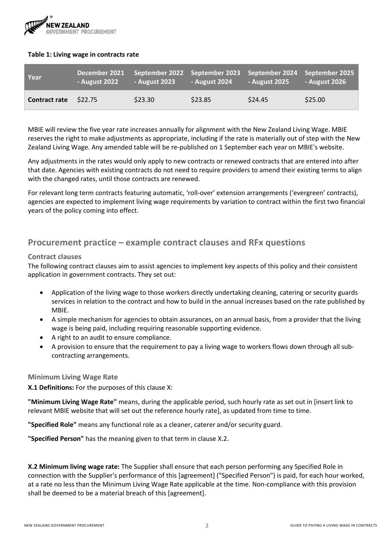

#### **Table 1: Living wage in contracts rate**

| Year                         | - August 2022 | December 2021 September 2022 September 2023 September 2024 September 2025<br>- August 2023 | <b>August 2024</b> | <b>- August 2025</b> | <b>August 2026</b> |
|------------------------------|---------------|--------------------------------------------------------------------------------------------|--------------------|----------------------|--------------------|
| <b>Contract rate</b> \$22.75 |               | \$23.30                                                                                    | \$23.85            | \$24.45              | \$25.00            |

MBIE will review the five year rate increases annually for alignment with the New Zealand Living Wage. MBIE reserves the right to make adjustments as appropriate, including if the rate is materially out of step with the New Zealand Living Wage. Any amended table will be re-published on 1 September each year on MBIE's website.

Any adjustments in the rates would only apply to new contracts or renewed contracts that are entered into after that date. Agencies with existing contracts do not need to require providers to amend their existing terms to align with the changed rates, until those contracts are renewed.

For relevant long term contracts featuring automatic, 'roll-over' extension arrangements ('evergreen' contracts), agencies are expected to implement living wage requirements by variation to contract within the first two financial years of the policy coming into effect.

## **Procurement practice – example contract clauses and RFx questions**

#### **Contract clauses**

The following contract clauses aim to assist agencies to implement key aspects of this policy and their consistent application in government contracts. They set out:

- Application of the living wage to those workers directly undertaking cleaning, catering or security guards services in relation to the contract and how to build in the annual increases based on the rate published by MBIE.
- A simple mechanism for agencies to obtain assurances, on an annual basis, from a provider that the living wage is being paid, including requiring reasonable supporting evidence.
- A right to an audit to ensure compliance.
- A provision to ensure that the requirement to pay a living wage to workers flows down through all subcontracting arrangements.

**Minimum Living Wage Rate**

**X.1 Definitions:** For the purposes of this clause X:

**"Minimum Living Wage Rate"** means, during the applicable period, such hourly rate as set out in [insert link to relevant MBIE website that will set out the reference hourly rate], as updated from time to time.

**"Specified Role"** means any functional role as a cleaner, caterer and/or security guard.

**"Specified Person"** has the meaning given to that term in clause X.2.

**X.2 Minimum living wage rate:** The Supplier shall ensure that each person performing any Specified Role in connection with the Supplier's performance of this [agreement] ("Specified Person") is paid, for each hour worked, at a rate no less than the Minimum Living Wage Rate applicable at the time. Non-compliance with this provision shall be deemed to be a material breach of this [agreement].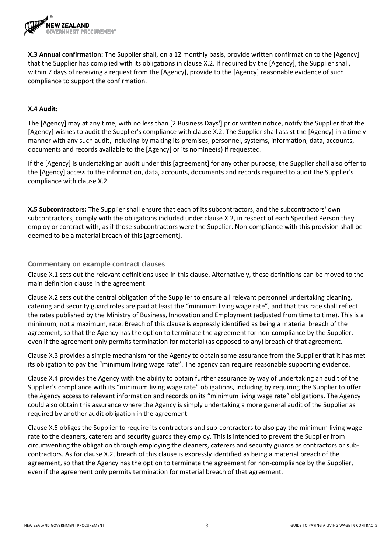

**X.3 Annual confirmation:** The Supplier shall, on a 12 monthly basis, provide written confirmation to the [Agency] that the Supplier has complied with its obligations in clause X.2. If required by the [Agency], the Supplier shall, within 7 days of receiving a request from the [Agency], provide to the [Agency] reasonable evidence of such compliance to support the confirmation.

#### **X.4 Audit:**

The [Agency] may at any time, with no less than [2 Business Days'] prior written notice, notify the Supplier that the [Agency] wishes to audit the Supplier's compliance with clause X.2. The Supplier shall assist the [Agency] in a timely manner with any such audit, including by making its premises, personnel, systems, information, data, accounts, documents and records available to the [Agency] or its nominee(s) if requested.

If the [Agency] is undertaking an audit under this [agreement] for any other purpose, the Supplier shall also offer to the [Agency] access to the information, data, accounts, documents and records required to audit the Supplier's compliance with clause X.2.

**X.5 Subcontractors:** The Supplier shall ensure that each of its subcontractors, and the subcontractors' own subcontractors, comply with the obligations included under clause X.2, in respect of each Specified Person they employ or contract with, as if those subcontractors were the Supplier. Non-compliance with this provision shall be deemed to be a material breach of this [agreement].

**Commentary on example contract clauses**

Clause X.1 sets out the relevant definitions used in this clause. Alternatively, these definitions can be moved to the main definition clause in the agreement.

Clause X.2 sets out the central obligation of the Supplier to ensure all relevant personnel undertaking cleaning, catering and security guard roles are paid at least the "minimum living wage rate", and that this rate shall reflect the rates published by the Ministry of Business, Innovation and Employment (adjusted from time to time). This is a minimum, not a maximum, rate. Breach of this clause is expressly identified as being a material breach of the agreement, so that the Agency has the option to terminate the agreement for non-compliance by the Supplier, even if the agreement only permits termination for material (as opposed to any) breach of that agreement.

Clause X.3 provides a simple mechanism for the Agency to obtain some assurance from the Supplier that it has met its obligation to pay the "minimum living wage rate". The agency can require reasonable supporting evidence.

Clause X.4 provides the Agency with the ability to obtain further assurance by way of undertaking an audit of the Supplier's compliance with its "minimum living wage rate" obligations, including by requiring the Supplier to offer the Agency access to relevant information and records on its "minimum living wage rate" obligations. The Agency could also obtain this assurance where the Agency is simply undertaking a more general audit of the Supplier as required by another audit obligation in the agreement.

Clause X.5 obliges the Supplier to require its contractors and sub-contractors to also pay the minimum living wage rate to the cleaners, caterers and security guards they employ. This is intended to prevent the Supplier from circumventing the obligation through employing the cleaners, caterers and security guards as contractors or subcontractors. As for clause X.2, breach of this clause is expressly identified as being a material breach of the agreement, so that the Agency has the option to terminate the agreement for non-compliance by the Supplier, even if the agreement only permits termination for material breach of that agreement.